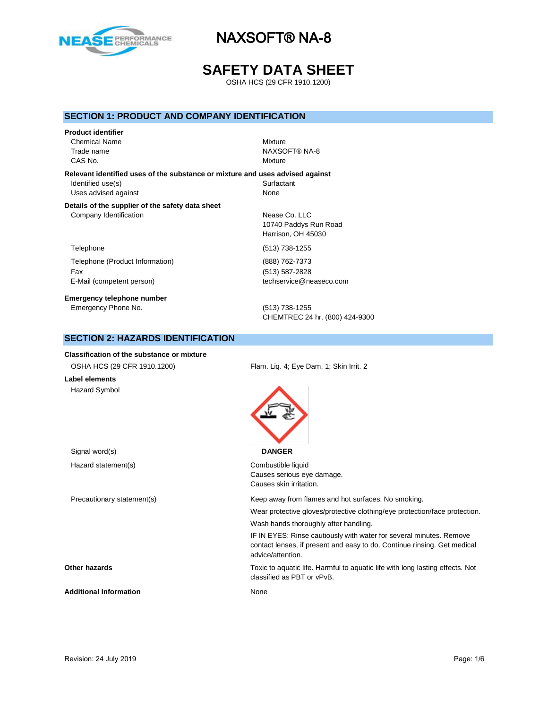

# **SAFETY DATA SHEET**

OSHA HCS (29 CFR 1910.1200)

### **SECTION 1: PRODUCT AND COMPANY IDENTIFICATION**

### **Product identifier**

Chemical Name Mixture CAS No. **Mixture** 

Trade name NAXSOFT® NA-8

**Relevant identified uses of the substance or mixture and uses advised against** Identified use(s) Surfactant Uses advised against None

#### **Details of the supplier of the safety data sheet** Company Identification Nease Co. LLC

Telephone (513) 738-1255 Telephone (Product Information) (888) 762-7373 Fax (513) 587-2828 E-Mail (competent person) example the techservice@neaseco.com

**Emergency telephone number** Emergency Phone No. (513) 738-1255

10740 Paddys Run Road Harrison, OH 45030

CHEMTREC 24 hr. (800) 424-9300

### **SECTION 2: HAZARDS IDENTIFICATION**

#### **Classification of the substance or mixture**

OSHA HCS (29 CFR 1910.1200) Flam. Liq. 4; Eye Dam. 1; Skin Irrit. 2 **Label elements** Hazard Symbol Signal word(s) **DANGER** Hazard statement(s) example a combustible liquid Causes serious eye damage. Causes skin irritation. Precautionary statement(s) Keep away from flames and hot surfaces. No smoking. Wear protective gloves/protective clothing/eye protection/face protection. Wash hands thoroughly after handling. IF IN EYES: Rinse cautiously with water for several minutes. Remove contact lenses, if present and easy to do. Continue rinsing. Get medical advice/attention. **Other hazards** Toxic to aquatic life. Harmful to aquatic life with long lasting effects. Not classified as PBT or vPvB. Additional Information **None** None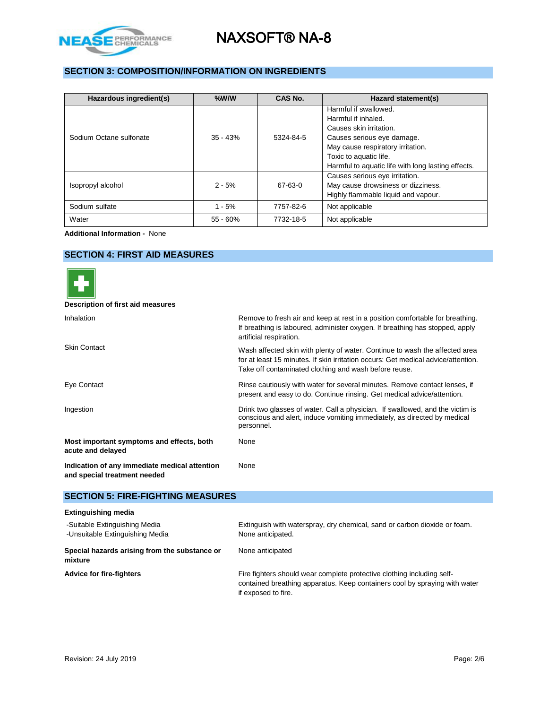

### **SECTION 3: COMPOSITION/INFORMATION ON INGREDIENTS**

| Hazardous ingredient(s) | $%$ W/W    | CAS No.   | Hazard statement(s)                                |
|-------------------------|------------|-----------|----------------------------------------------------|
|                         |            |           | Harmful if swallowed.                              |
|                         |            |           | Harmful if inhaled.                                |
|                         |            |           | Causes skin irritation.                            |
| Sodium Octane sulfonate | $35 - 43%$ | 5324-84-5 | Causes serious eye damage.                         |
|                         |            |           | May cause respiratory irritation.                  |
|                         |            |           | Toxic to aquatic life.                             |
|                         |            |           | Harmful to aquatic life with long lasting effects. |
|                         |            |           | Causes serious eye irritation.                     |
| Isopropyl alcohol       | $2 - 5%$   | 67-63-0   | May cause drowsiness or dizziness.                 |
|                         |            |           | Highly flammable liquid and vapour.                |
| Sodium sulfate          | $1 - 5%$   | 7757-82-6 | Not applicable                                     |
| Water                   | $55 - 60%$ | 7732-18-5 | Not applicable                                     |

**Additional Information -** None

## **SECTION 4: FIRST AID MEASURES**



| Description of first aid measures                                             |                                                                                                                                                                                                                           |
|-------------------------------------------------------------------------------|---------------------------------------------------------------------------------------------------------------------------------------------------------------------------------------------------------------------------|
| Inhalation                                                                    | Remove to fresh air and keep at rest in a position comfortable for breathing.<br>If breathing is laboured, administer oxygen. If breathing has stopped, apply<br>artificial respiration.                                  |
| <b>Skin Contact</b>                                                           | Wash affected skin with plenty of water. Continue to wash the affected area<br>for at least 15 minutes. If skin irritation occurs: Get medical advice/attention.<br>Take off contaminated clothing and wash before reuse. |
| Eye Contact                                                                   | Rinse cautiously with water for several minutes. Remove contact lenses, if<br>present and easy to do. Continue rinsing. Get medical advice/attention.                                                                     |
| Ingestion                                                                     | Drink two glasses of water. Call a physician. If swallowed, and the victim is<br>conscious and alert, induce vomiting immediately, as directed by medical<br>personnel.                                                   |
| Most important symptoms and effects, both<br>acute and delayed                | None                                                                                                                                                                                                                      |
| Indication of any immediate medical attention<br>and special treatment needed | None                                                                                                                                                                                                                      |

### **SECTION 5: FIRE-FIGHTING MEASURES**

| <b>Extinguishing media</b>                                       |                                                                                                                                                                             |
|------------------------------------------------------------------|-----------------------------------------------------------------------------------------------------------------------------------------------------------------------------|
| -Suitable Extinguishing Media<br>-Unsuitable Extinguishing Media | Extinguish with waterspray, dry chemical, sand or carbon dioxide or foam.<br>None anticipated.                                                                              |
| Special hazards arising from the substance or<br>mixture         | None anticipated                                                                                                                                                            |
| <b>Advice for fire-fighters</b>                                  | Fire fighters should wear complete protective clothing including self-<br>contained breathing apparatus. Keep containers cool by spraying with water<br>if exposed to fire. |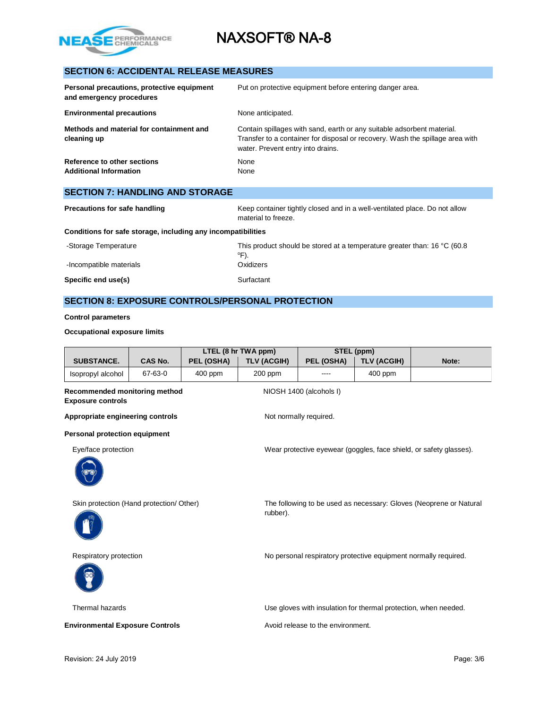

## **SECTION 6: ACCIDENTAL RELEASE MEASURES**

| Personal precautions, protective equipment<br>and emergency procedures | Put on protective equipment before entering danger area.                                                                                                                                     |
|------------------------------------------------------------------------|----------------------------------------------------------------------------------------------------------------------------------------------------------------------------------------------|
| <b>Environmental precautions</b>                                       | None anticipated.                                                                                                                                                                            |
| Methods and material for containment and<br>cleaning up                | Contain spillages with sand, earth or any suitable adsorbent material.<br>Transfer to a container for disposal or recovery. Wash the spillage area with<br>water. Prevent entry into drains. |
| Reference to other sections<br><b>Additional Information</b>           | None<br>None                                                                                                                                                                                 |

| <b>SECTION 7: HANDLING AND STORAGE</b>                       |                                                                                                   |  |  |
|--------------------------------------------------------------|---------------------------------------------------------------------------------------------------|--|--|
| <b>Precautions for safe handling</b>                         | Keep container tightly closed and in a well-ventilated place. Do not allow<br>material to freeze. |  |  |
| Conditions for safe storage, including any incompatibilities |                                                                                                   |  |  |
| -Storage Temperature                                         | This product should be stored at a temperature greater than: 16 $^{\circ}$ C (60.8)<br>°F).       |  |  |
| -Incompatible materials                                      | Oxidizers                                                                                         |  |  |
| Specific end use(s)                                          | Surfactant                                                                                        |  |  |

## **SECTION 8: EXPOSURE CONTROLS/PERSONAL PROTECTION**

**Control parameters**

### **Occupational exposure limits**

|                                                           |                |            | LTEL (8 hr TWA ppm) |                                   | STEL (ppm)                                                      |                                                                    |
|-----------------------------------------------------------|----------------|------------|---------------------|-----------------------------------|-----------------------------------------------------------------|--------------------------------------------------------------------|
| <b>SUBSTANCE.</b>                                         | <b>CAS No.</b> | PEL (OSHA) | <b>TLV (ACGIH)</b>  | PEL (OSHA)                        | <b>TLV (ACGIH)</b>                                              | Note:                                                              |
| Isopropyl alcohol                                         | 67-63-0        | 400 ppm    | 200 ppm             | ----                              | 400 ppm                                                         |                                                                    |
| Recommended monitoring method<br><b>Exposure controls</b> |                |            |                     | NIOSH 1400 (alcohols I)           |                                                                 |                                                                    |
| Appropriate engineering controls                          |                |            |                     | Not normally required.            |                                                                 |                                                                    |
| <b>Personal protection equipment</b>                      |                |            |                     |                                   |                                                                 |                                                                    |
| Eye/face protection                                       |                |            |                     |                                   |                                                                 | Wear protective eyewear (goggles, face shield, or safety glasses). |
|                                                           |                |            |                     |                                   |                                                                 |                                                                    |
| Skin protection (Hand protection/ Other)                  |                |            |                     |                                   |                                                                 | The following to be used as necessary: Gloves (Neoprene or Natural |
|                                                           |                |            | rubber).            |                                   |                                                                 |                                                                    |
| Respiratory protection                                    |                |            |                     |                                   |                                                                 | No personal respiratory protective equipment normally required.    |
|                                                           |                |            |                     |                                   |                                                                 |                                                                    |
| Thermal hazards                                           |                |            |                     |                                   | Use gloves with insulation for thermal protection, when needed. |                                                                    |
| <b>Environmental Exposure Controls</b>                    |                |            |                     | Avoid release to the environment. |                                                                 |                                                                    |
|                                                           |                |            |                     |                                   |                                                                 |                                                                    |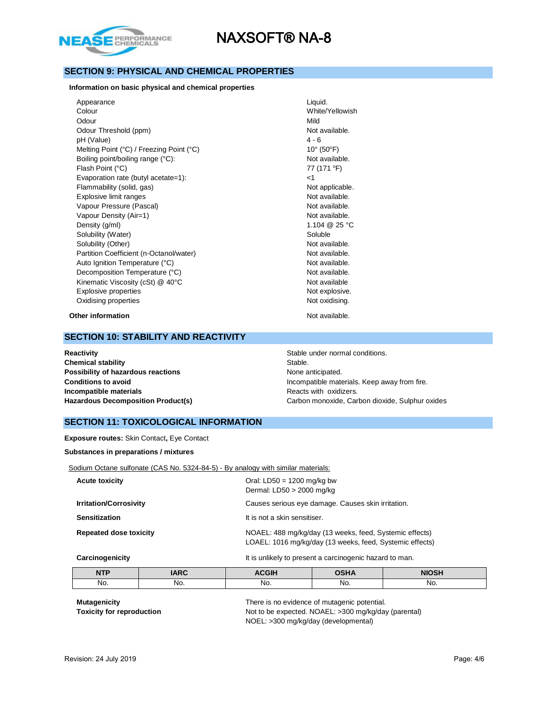

### **SECTION 9: PHYSICAL AND CHEMICAL PROPERTIES**

#### **Information on basic physical and chemical properties**

Appearance Liquid. Colour White/Yellowish Odour Nild Odour Threshold (ppm) Not available. pH (Value) 4 - 6 Melting Point (°C) / Freezing Point (°C) 10° (50°F) Boiling point/boiling range (°C): Not available. Flash Point  $(^{\circ}C)$  77 (171  $^{\circ}F$ ) Evaporation rate (butyl acetate=1): <1 Flammability (solid, gas) Not applicable. Explosive limit ranges **Not available**. Vapour Pressure (Pascal) Not available. Vapour Density (Air=1) Not available. Density (g/ml) 1.104 @ 25 °C Solubility (Water) Soluble Solubility (Other) Not available. Partition Coefficient (n-Octanol/water) Not available. Auto Ignition Temperature (°C) and the set of the Mot available. Decomposition Temperature (°C) Not available. Kinematic Viscosity (cSt) @ 40°C Not available Explosive properties Not explosive. Oxidising properties Not oxidising.

**Other information** Not available.

### **SECTION 10: STABILITY AND REACTIVITY**

**Chemical stability** Stable. **Possibility of hazardous reactions** None anticipated. **Incompatible materials Reacts with oxidizers. Reacts with oxidizers. Reacts with oxidizers.** 

**Reactivity Reactivity Stable under normal conditions.** Stable under normal conditions. **Conditions to avoid Incompatible materials. Keep away from fire. Incompatible materials. Keep away from fire. Hazardous Decomposition Product(s)** Carbon monoxide, Carbon dioxide, Sulphur oxides

### **SECTION 11: TOXICOLOGICAL INFORMATION**

**Exposure routes:** Skin Contact**,** Eye Contact

#### **Substances in preparations / mixtures**

Sodium Octane sulfonate (CAS No. 5324-84-5) - By analogy with similar materials:

| <b>Acute toxicity</b>         | Oral: LD50 = 1200 mg/kg bw<br>Dermal: LD50 > 2000 mg/kg                                                             |
|-------------------------------|---------------------------------------------------------------------------------------------------------------------|
| <b>Irritation/Corrosivity</b> | Causes serious eye damage. Causes skin irritation.                                                                  |
| <b>Sensitization</b>          | It is not a skin sensitiser.                                                                                        |
| <b>Repeated dose toxicity</b> | NOAEL: 488 mg/kg/day (13 weeks, feed, Systemic effects)<br>LOAEL: 1016 mg/kg/day (13 weeks, feed, Systemic effects) |
| Construction of the late      | the fact condition to the component of the magnetic momentum components of the components of the components of      |

**Carcinogenicity It is unlikely to present a carcinogenic hazard to man.** 

| <b>NTD</b><br>NII | <b>IARC</b> | <b>ACGIH</b> | <b>OSHA</b> | <b>NIOSH</b> |
|-------------------|-------------|--------------|-------------|--------------|
| No.               | No.         | No.          | No.         | NO.          |
|                   | ___         |              | ____        | ____         |

**Mutagenicity There is no evidence of mutagenic potential.** There is no evidence of mutagenic potential. **Toxicity for reproduction** Not to be expected. NOAEL: >300 mg/kg/day (parental) NOEL: >300 mg/kg/day (developmental)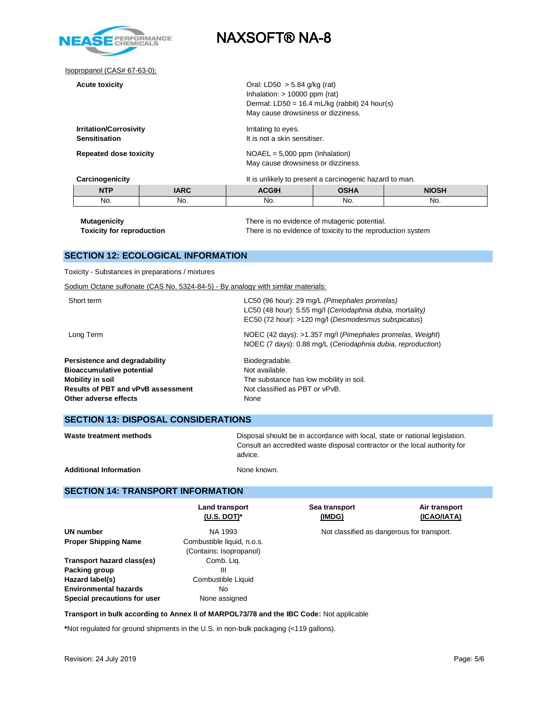

Isopropanol (CAS# 67-63-0):

| <b>Acute toxicity</b>                                 |             | Oral: LD50 $>$ 5.84 g/kg (rat)<br>Inhalation: $> 10000$ ppm (rat)<br>Dermal: LD50 = $16.4$ mL/kg (rabbit) 24 hour(s)<br>May cause drowsiness or dizziness. |                                             |              |
|-------------------------------------------------------|-------------|------------------------------------------------------------------------------------------------------------------------------------------------------------|---------------------------------------------|--------------|
| <b>Irritation/Corrosivity</b><br><b>Sensitisation</b> |             | Irritating to eyes.<br>It is not a skin sensitiser.                                                                                                        |                                             |              |
| <b>Repeated dose toxicity</b>                         |             | $NOAEL = 5,000$ ppm (Inhalation)<br>May cause drowsiness or dizziness.                                                                                     |                                             |              |
| Carcinogenicity                                       |             | It is unlikely to present a carcinogenic hazard to man.                                                                                                    |                                             |              |
| <b>NTP</b>                                            | <b>IARC</b> | <b>ACGIH</b>                                                                                                                                               | <b>OSHA</b>                                 | <b>NIOSH</b> |
| No.                                                   | No.         | No.                                                                                                                                                        | No.                                         | No.          |
| M <sub>1</sub>                                        |             |                                                                                                                                                            | There is no ovidence of mutagonic potential |              |

**Mutagenicity** There is no evidence of mutagenic potential. **Toxicity for reproduction** There is no evidence of toxicity to the reproduction system

### **SECTION 12: ECOLOGICAL INFORMATION**

Toxicity - Substances in preparations / mixtures

Sodium Octane sulfonate (CAS No. 5324-84-5) - By analogy with similar materials:

| Short term                                 | LC50 (96 hour): 29 mg/L (Pimephales promelas)<br>LC50 (48 hour): 5.55 mg/l (Ceriodaphnia dubia, mortality)<br>EC50 (72 hour): >120 mg/l (Desmodesmus subspicatus) |
|--------------------------------------------|-------------------------------------------------------------------------------------------------------------------------------------------------------------------|
| Long Term                                  | NOEC (42 days): >1.357 mg/l (Pimephales promelas, Weight)<br>NOEC (7 days): 0.88 mg/L (Ceriodaphnia dubia, reproduction)                                          |
| Persistence and degradability              | Biodegradable.                                                                                                                                                    |
| <b>Bioaccumulative potential</b>           | Not available.                                                                                                                                                    |
| Mobility in soil                           | The substance has low mobility in soil.                                                                                                                           |
| <b>Results of PBT and vPvB assessment</b>  | Not classified as PBT or vPvB.                                                                                                                                    |
| Other adverse effects                      | None                                                                                                                                                              |
| <b>SECTION 13: DISPOSAL CONSIDERATIONS</b> |                                                                                                                                                                   |

| Waste treatment methods | Disposal should be in accordance with local, state or national legislation. |
|-------------------------|-----------------------------------------------------------------------------|
|                         | Consult an accredited waste disposal contractor or the local authority for  |
|                         | advice.                                                                     |
|                         |                                                                             |

Additional Information **None known.** None known.

### **SECTION 14: TRANSPORT INFORMATION**

|                              | <b>Land transport</b><br>$(U.S. DOT)*$ | Sea transport<br>(IMDG)                    | Air transport<br>(ICAO/IATA) |
|------------------------------|----------------------------------------|--------------------------------------------|------------------------------|
| UN number                    | NA 1993                                | Not classified as dangerous for transport. |                              |
| <b>Proper Shipping Name</b>  | Combustible liquid, n.o.s.             |                                            |                              |
|                              | (Contains: Isopropanol)                |                                            |                              |
| Transport hazard class(es)   | Comb. Lig.                             |                                            |                              |
| Packing group                | Ш                                      |                                            |                              |
| Hazard label(s)              | Combustible Liquid                     |                                            |                              |
| <b>Environmental hazards</b> | No                                     |                                            |                              |
| Special precautions for user | None assigned                          |                                            |                              |

**Transport in bulk according to Annex II of MARPOL73/78 and the IBC Code:** Not applicable

**\***Not regulated for ground shipments in the U.S. in non-bulk packaging (<119 gallons).